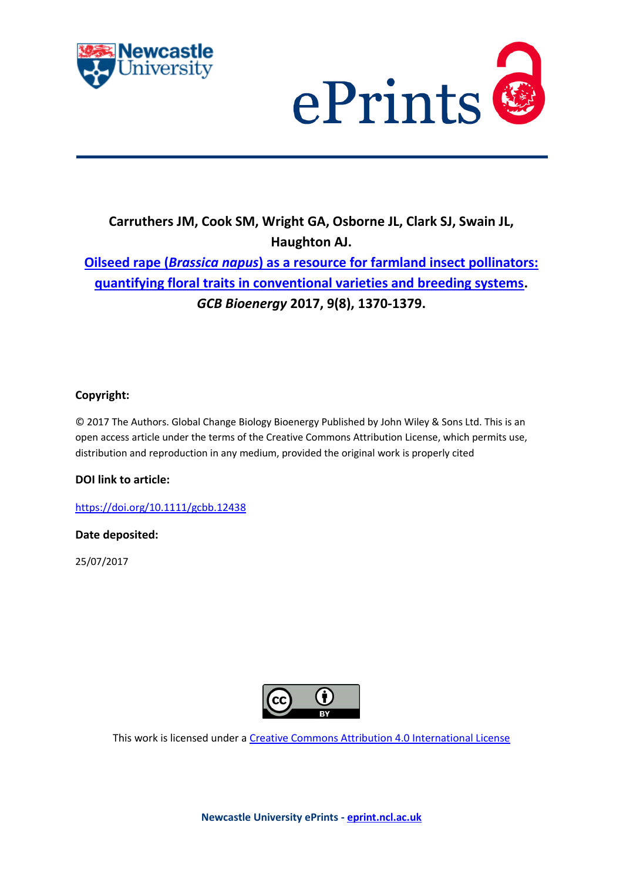



# **Carruthers JM, Cook SM, Wright GA, Osborne JL, Clark SJ, Swain JL, Haughton AJ.**

# **Oilseed rape (***Brassica napus***[\) as a resource for farmland insect pollinators:](https://myimpact.ncl.ac.uk/ViewPublication.aspx?id=239970)  [quantifying floral traits in conventional varieties and breeding systems.](https://myimpact.ncl.ac.uk/ViewPublication.aspx?id=239970)**  *GCB Bioenergy* **2017, 9(8), 1370-1379.**

# **Copyright:**

© 2017 The Authors. Global Change Biology Bioenergy Published by John Wiley & Sons Ltd. This is an open access article under the terms of the Creative Commons Attribution License, which permits use, distribution and reproduction in any medium, provided the original work is properly cited

# **DOI link to article:**

<https://doi.org/10.1111/gcbb.12438>

# **Date deposited:**

25/07/2017



This work is licensed under [a Creative Commons Attribution 4.0 International License](http://creativecommons.org/licenses/by/4.0/)

**Newcastle University ePrints - [eprint.ncl.ac.uk](http://eprint.ncl.ac.uk/)**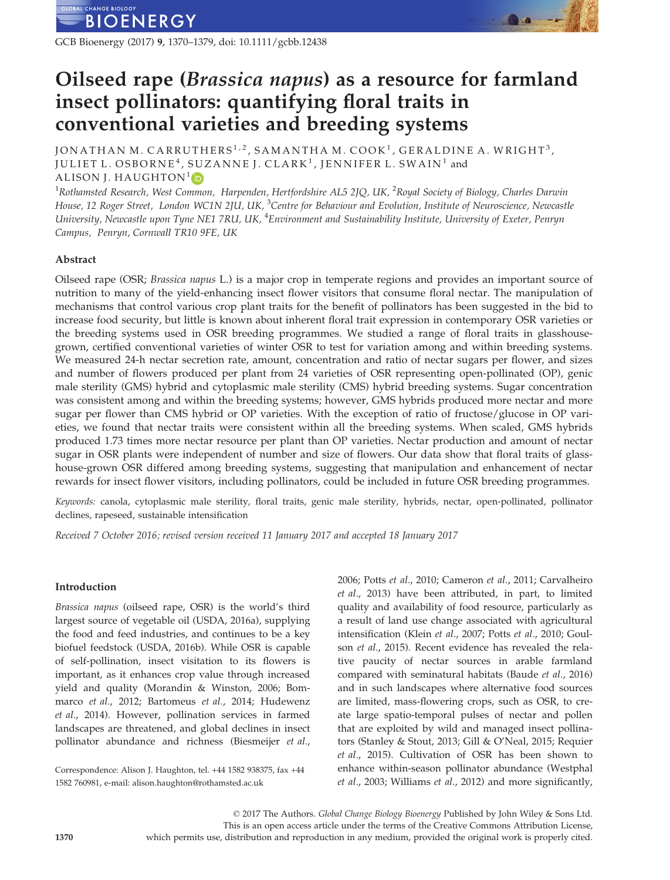GCB Bioenergy (2017) 9, 1370–1379, doi: 10.1111/gcbb.12438

# Oilseed rape (Brassica napus) as a resource for farmland insect pollinators: quantifying floral traits in conventional varieties and breeding systems

JONATHAN M. CARRUTHERS<sup>1,2</sup>, SAMANTHA M. COOK<sup>1</sup>, GERALDINE A. WRIGHT<sup>3</sup>, JULIET L. OSBORNE<sup>4</sup>, SUZANNE J. CLARK<sup>1</sup>, JENNIFER L. SWAIN<sup>1</sup> and ALISON J. HAUGHTON<sup>1</sup><sub>D</sub>

 $^1$ Rothamsted Research, West Common, Harpenden, Hertfordshire AL5 2JQ, UK,  $^2$ Royal Society of Biology, Charles Darwin House, 12 Roger Street, London WC1N 2JU, UK, <sup>3</sup>Centre for Behaviour and Evolution, Institute of Neuroscience, Newcastle University, Newcastle upon Tyne NE1 7RU, UK, <sup>4</sup>Environment and Sustainability Institute, University of Exeter, Penryn Campus, Penryn, Cornwall TR10 9FE, UK

## Abstract

Oilseed rape (OSR; Brassica napus L.) is a major crop in temperate regions and provides an important source of nutrition to many of the yield-enhancing insect flower visitors that consume floral nectar. The manipulation of mechanisms that control various crop plant traits for the benefit of pollinators has been suggested in the bid to increase food security, but little is known about inherent floral trait expression in contemporary OSR varieties or the breeding systems used in OSR breeding programmes. We studied a range of floral traits in glasshousegrown, certified conventional varieties of winter OSR to test for variation among and within breeding systems. We measured 24-h nectar secretion rate, amount, concentration and ratio of nectar sugars per flower, and sizes and number of flowers produced per plant from 24 varieties of OSR representing open-pollinated (OP), genic male sterility (GMS) hybrid and cytoplasmic male sterility (CMS) hybrid breeding systems. Sugar concentration was consistent among and within the breeding systems; however, GMS hybrids produced more nectar and more sugar per flower than CMS hybrid or OP varieties. With the exception of ratio of fructose/glucose in OP varieties, we found that nectar traits were consistent within all the breeding systems. When scaled, GMS hybrids produced 1.73 times more nectar resource per plant than OP varieties. Nectar production and amount of nectar sugar in OSR plants were independent of number and size of flowers. Our data show that floral traits of glasshouse-grown OSR differed among breeding systems, suggesting that manipulation and enhancement of nectar rewards for insect flower visitors, including pollinators, could be included in future OSR breeding programmes.

Keywords: canola, cytoplasmic male sterility, floral traits, genic male sterility, hybrids, nectar, open-pollinated, pollinator declines, rapeseed, sustainable intensification

Received 7 October 2016; revised version received 11 January 2017 and accepted 18 January 2017

## Introduction

Brassica napus (oilseed rape, OSR) is the world's third largest source of vegetable oil (USDA, 2016a), supplying the food and feed industries, and continues to be a key biofuel feedstock (USDA, 2016b). While OSR is capable of self-pollination, insect visitation to its flowers is important, as it enhances crop value through increased yield and quality (Morandin & Winston, 2006; Bommarco et al., 2012; Bartomeus et al., 2014; Hudewenz et al., 2014). However, pollination services in farmed landscapes are threatened, and global declines in insect pollinator abundance and richness (Biesmeijer et al.,

Correspondence: Alison J. Haughton, tel. +44 1582 938375, fax +44 1582 760981, e-mail: alison.haughton@rothamsted.ac.uk

2006; Potts et al., 2010; Cameron et al., 2011; Carvalheiro et al., 2013) have been attributed, in part, to limited quality and availability of food resource, particularly as a result of land use change associated with agricultural intensification (Klein et al., 2007; Potts et al., 2010; Goulson et al., 2015). Recent evidence has revealed the relative paucity of nectar sources in arable farmland compared with seminatural habitats (Baude et al., 2016) and in such landscapes where alternative food sources are limited, mass-flowering crops, such as OSR, to create large spatio-temporal pulses of nectar and pollen that are exploited by wild and managed insect pollinators (Stanley & Stout, 2013; Gill & O'Neal, 2015; Requier et al., 2015). Cultivation of OSR has been shown to enhance within-season pollinator abundance (Westphal et al., 2003; Williams et al., 2012) and more significantly,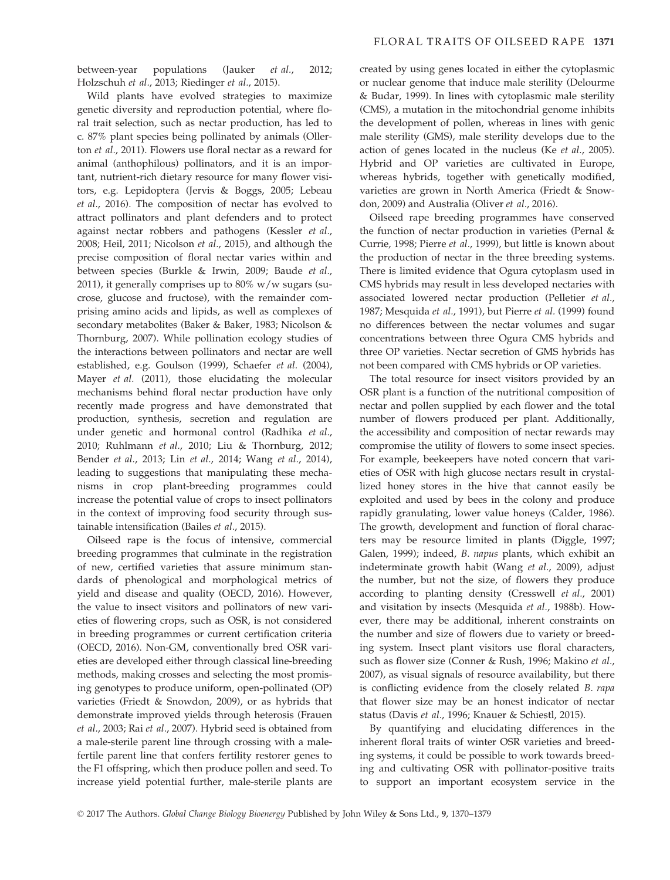between-year populations (Jauker *et al.*, 2012; Holzschuh et al., 2013; Riedinger et al., 2015).

Wild plants have evolved strategies to maximize genetic diversity and reproduction potential, where floral trait selection, such as nectar production, has led to c. 87% plant species being pollinated by animals (Ollerton et al., 2011). Flowers use floral nectar as a reward for animal (anthophilous) pollinators, and it is an important, nutrient-rich dietary resource for many flower visitors, e.g. Lepidoptera (Jervis & Boggs, 2005; Lebeau et al., 2016). The composition of nectar has evolved to attract pollinators and plant defenders and to protect against nectar robbers and pathogens (Kessler et al., 2008; Heil, 2011; Nicolson et al., 2015), and although the precise composition of floral nectar varies within and between species (Burkle & Irwin, 2009; Baude et al., 2011), it generally comprises up to  $80\%$  w/w sugars (sucrose, glucose and fructose), with the remainder comprising amino acids and lipids, as well as complexes of secondary metabolites (Baker & Baker, 1983; Nicolson & Thornburg, 2007). While pollination ecology studies of the interactions between pollinators and nectar are well established, e.g. Goulson (1999), Schaefer et al. (2004), Mayer et al. (2011), those elucidating the molecular mechanisms behind floral nectar production have only recently made progress and have demonstrated that production, synthesis, secretion and regulation are under genetic and hormonal control (Radhika et al., 2010; Ruhlmann et al., 2010; Liu & Thornburg, 2012; Bender et al., 2013; Lin et al., 2014; Wang et al., 2014), leading to suggestions that manipulating these mechanisms in crop plant-breeding programmes could increase the potential value of crops to insect pollinators in the context of improving food security through sustainable intensification (Bailes et al., 2015).

Oilseed rape is the focus of intensive, commercial breeding programmes that culminate in the registration of new, certified varieties that assure minimum standards of phenological and morphological metrics of yield and disease and quality (OECD, 2016). However, the value to insect visitors and pollinators of new varieties of flowering crops, such as OSR, is not considered in breeding programmes or current certification criteria (OECD, 2016). Non-GM, conventionally bred OSR varieties are developed either through classical line-breeding methods, making crosses and selecting the most promising genotypes to produce uniform, open-pollinated (OP) varieties (Friedt & Snowdon, 2009), or as hybrids that demonstrate improved yields through heterosis (Frauen et al., 2003; Rai et al., 2007). Hybrid seed is obtained from a male-sterile parent line through crossing with a malefertile parent line that confers fertility restorer genes to the F1 offspring, which then produce pollen and seed. To increase yield potential further, male-sterile plants are created by using genes located in either the cytoplasmic or nuclear genome that induce male sterility (Delourme & Budar, 1999). In lines with cytoplasmic male sterility (CMS), a mutation in the mitochondrial genome inhibits the development of pollen, whereas in lines with genic male sterility (GMS), male sterility develops due to the action of genes located in the nucleus (Ke et al., 2005). Hybrid and OP varieties are cultivated in Europe, whereas hybrids, together with genetically modified, varieties are grown in North America (Friedt & Snowdon, 2009) and Australia (Oliver et al., 2016).

Oilseed rape breeding programmes have conserved the function of nectar production in varieties (Pernal & Currie, 1998; Pierre et al., 1999), but little is known about the production of nectar in the three breeding systems. There is limited evidence that Ogura cytoplasm used in CMS hybrids may result in less developed nectaries with associated lowered nectar production (Pelletier et al., 1987; Mesquida et al., 1991), but Pierre et al. (1999) found no differences between the nectar volumes and sugar concentrations between three Ogura CMS hybrids and three OP varieties. Nectar secretion of GMS hybrids has not been compared with CMS hybrids or OP varieties.

The total resource for insect visitors provided by an OSR plant is a function of the nutritional composition of nectar and pollen supplied by each flower and the total number of flowers produced per plant. Additionally, the accessibility and composition of nectar rewards may compromise the utility of flowers to some insect species. For example, beekeepers have noted concern that varieties of OSR with high glucose nectars result in crystallized honey stores in the hive that cannot easily be exploited and used by bees in the colony and produce rapidly granulating, lower value honeys (Calder, 1986). The growth, development and function of floral characters may be resource limited in plants (Diggle, 1997; Galen, 1999); indeed, B. napus plants, which exhibit an indeterminate growth habit (Wang et al., 2009), adjust the number, but not the size, of flowers they produce according to planting density (Cresswell et al., 2001) and visitation by insects (Mesquida et al., 1988b). However, there may be additional, inherent constraints on the number and size of flowers due to variety or breeding system. Insect plant visitors use floral characters, such as flower size (Conner & Rush, 1996; Makino et al., 2007), as visual signals of resource availability, but there is conflicting evidence from the closely related B. rapa that flower size may be an honest indicator of nectar status (Davis et al., 1996; Knauer & Schiestl, 2015).

By quantifying and elucidating differences in the inherent floral traits of winter OSR varieties and breeding systems, it could be possible to work towards breeding and cultivating OSR with pollinator-positive traits to support an important ecosystem service in the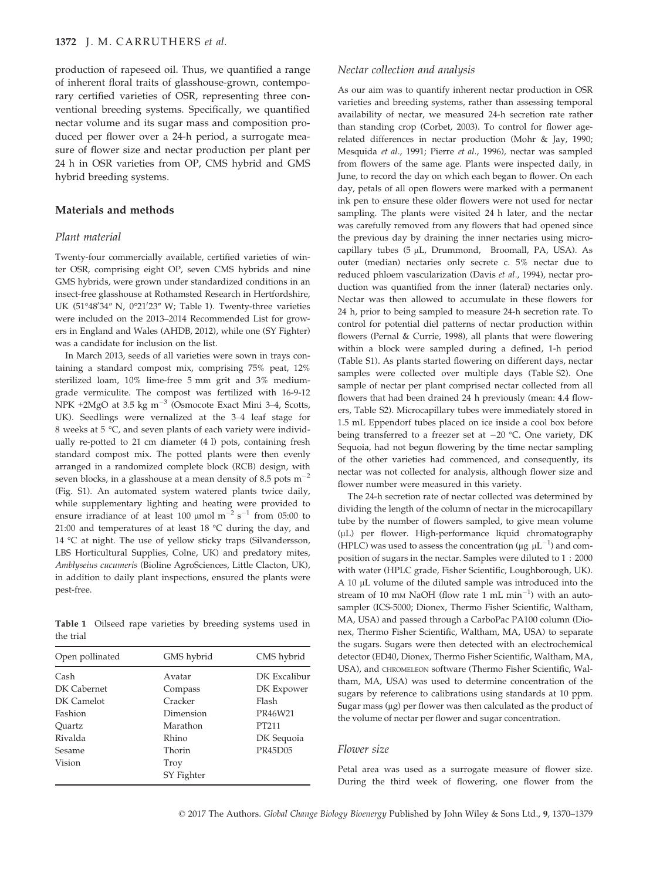production of rapeseed oil. Thus, we quantified a range of inherent floral traits of glasshouse-grown, contemporary certified varieties of OSR, representing three conventional breeding systems. Specifically, we quantified nectar volume and its sugar mass and composition produced per flower over a 24-h period, a surrogate measure of flower size and nectar production per plant per 24 h in OSR varieties from OP, CMS hybrid and GMS hybrid breeding systems.

### Materials and methods

#### Plant material

Twenty-four commercially available, certified varieties of winter OSR, comprising eight OP, seven CMS hybrids and nine GMS hybrids, were grown under standardized conditions in an insect-free glasshouse at Rothamsted Research in Hertfordshire, UK (51°48'34" N, 0°21'23" W; Table 1). Twenty-three varieties were included on the 2013–2014 Recommended List for growers in England and Wales (AHDB, 2012), while one (SY Fighter) was a candidate for inclusion on the list.

In March 2013, seeds of all varieties were sown in trays containing a standard compost mix, comprising 75% peat, 12% sterilized loam, 10% lime-free 5 mm grit and 3% mediumgrade vermiculite. The compost was fertilized with 16-9-12 NPK +2MgO at 3.5 kg  $m^{-3}$  (Osmocote Exact Mini 3–4, Scotts, UK). Seedlings were vernalized at the 3–4 leaf stage for 8 weeks at 5 °C, and seven plants of each variety were individually re-potted to 21 cm diameter (4 l) pots, containing fresh standard compost mix. The potted plants were then evenly arranged in a randomized complete block (RCB) design, with seven blocks, in a glasshouse at a mean density of 8.5 pots  $m^{-2}$ (Fig. S1). An automated system watered plants twice daily, while supplementary lighting and heating were provided to ensure irradiance of at least 100  $\mu$ mol m<sup>-2</sup> s<sup>-1</sup> from 05:00 to 21:00 and temperatures of at least 18 °C during the day, and 14 °C at night. The use of yellow sticky traps (Silvandersson, LBS Horticultural Supplies, Colne, UK) and predatory mites, Amblyseius cucumeris (Bioline AgroSciences, Little Clacton, UK), in addition to daily plant inspections, ensured the plants were pest-free.

Table 1 Oilseed rape varieties by breeding systems used in the trial

| Open pollinated | GMS hybrid | CMS hybrid   |
|-----------------|------------|--------------|
| Cash            | Avatar     | DK Excalibur |
| DK Cabernet     | Compass    | DK Expower   |
| DK Camelot      | Cracker    | Flash        |
| Fashion         | Dimension  | PR46W21      |
| Ouartz          | Marathon   | PT211        |
| Rivalda         | Rhino      | DK Sequoia   |
| Sesame          | Thorin     | PR45D05      |
| Vision          | Troy       |              |
|                 | SY Fighter |              |

#### Nectar collection and analysis

As our aim was to quantify inherent nectar production in OSR varieties and breeding systems, rather than assessing temporal availability of nectar, we measured 24-h secretion rate rather than standing crop (Corbet, 2003). To control for flower agerelated differences in nectar production (Mohr & Jay, 1990; Mesquida et al., 1991; Pierre et al., 1996), nectar was sampled from flowers of the same age. Plants were inspected daily, in June, to record the day on which each began to flower. On each day, petals of all open flowers were marked with a permanent ink pen to ensure these older flowers were not used for nectar sampling. The plants were visited 24 h later, and the nectar was carefully removed from any flowers that had opened since the previous day by draining the inner nectaries using microcapillary tubes (5 µL, Drummond, Broomall, PA, USA). As outer (median) nectaries only secrete c. 5% nectar due to reduced phloem vascularization (Davis et al., 1994), nectar production was quantified from the inner (lateral) nectaries only. Nectar was then allowed to accumulate in these flowers for 24 h, prior to being sampled to measure 24-h secretion rate. To control for potential diel patterns of nectar production within flowers (Pernal & Currie, 1998), all plants that were flowering within a block were sampled during a defined, 1-h period (Table S1). As plants started flowering on different days, nectar samples were collected over multiple days (Table S2). One sample of nectar per plant comprised nectar collected from all flowers that had been drained 24 h previously (mean: 4.4 flowers, Table S2). Microcapillary tubes were immediately stored in 1.5 mL Eppendorf tubes placed on ice inside a cool box before being transferred to a freezer set at  $-20$  °C. One variety, DK Sequoia, had not begun flowering by the time nectar sampling of the other varieties had commenced, and consequently, its nectar was not collected for analysis, although flower size and flower number were measured in this variety.

The 24-h secretion rate of nectar collected was determined by dividing the length of the column of nectar in the microcapillary tube by the number of flowers sampled, to give mean volume (lL) per flower. High-performance liquid chromatography (HPLC) was used to assess the concentration ( $\mu$ g  $\mu$ L<sup>-1</sup>) and composition of sugars in the nectar. Samples were diluted to 1 : 2000 with water (HPLC grade, Fisher Scientific, Loughborough, UK). A 10 µL volume of the diluted sample was introduced into the stream of 10 mm NaOH (flow rate 1 mL  $min^{-1}$ ) with an autosampler (ICS-5000; Dionex, Thermo Fisher Scientific, Waltham, MA, USA) and passed through a CarboPac PA100 column (Dionex, Thermo Fisher Scientific, Waltham, MA, USA) to separate the sugars. Sugars were then detected with an electrochemical detector (ED40, Dionex, Thermo Fisher Scientific, Waltham, MA, USA), and CHROMELEON software (Thermo Fisher Scientific, Waltham, MA, USA) was used to determine concentration of the sugars by reference to calibrations using standards at 10 ppm. Sugar mass ( $\mu$ g) per flower was then calculated as the product of the volume of nectar per flower and sugar concentration.

#### Flower size

Petal area was used as a surrogate measure of flower size. During the third week of flowering, one flower from the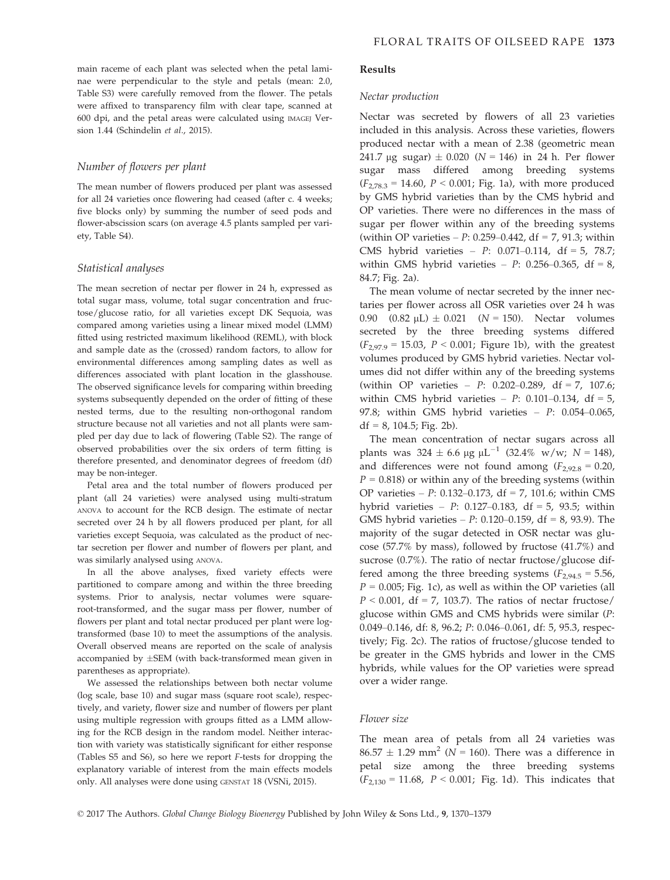main raceme of each plant was selected when the petal laminae were perpendicular to the style and petals (mean: 2.0, Table S3) were carefully removed from the flower. The petals were affixed to transparency film with clear tape, scanned at 600 dpi, and the petal areas were calculated using IMAGEJ Version 1.44 (Schindelin et al., 2015).

#### Number of flowers per plant

The mean number of flowers produced per plant was assessed for all 24 varieties once flowering had ceased (after c. 4 weeks; five blocks only) by summing the number of seed pods and flower-abscission scars (on average 4.5 plants sampled per variety, Table S4).

#### Statistical analyses

The mean secretion of nectar per flower in 24 h, expressed as total sugar mass, volume, total sugar concentration and fructose/glucose ratio, for all varieties except DK Sequoia, was compared among varieties using a linear mixed model (LMM) fitted using restricted maximum likelihood (REML), with block and sample date as the (crossed) random factors, to allow for environmental differences among sampling dates as well as differences associated with plant location in the glasshouse. The observed significance levels for comparing within breeding systems subsequently depended on the order of fitting of these nested terms, due to the resulting non-orthogonal random structure because not all varieties and not all plants were sampled per day due to lack of flowering (Table S2). The range of observed probabilities over the six orders of term fitting is therefore presented, and denominator degrees of freedom (df) may be non-integer.

Petal area and the total number of flowers produced per plant (all 24 varieties) were analysed using multi-stratum ANOVA to account for the RCB design. The estimate of nectar secreted over 24 h by all flowers produced per plant, for all varieties except Sequoia, was calculated as the product of nectar secretion per flower and number of flowers per plant, and was similarly analysed using ANOVA.

In all the above analyses, fixed variety effects were partitioned to compare among and within the three breeding systems. Prior to analysis, nectar volumes were squareroot-transformed, and the sugar mass per flower, number of flowers per plant and total nectar produced per plant were logtransformed (base 10) to meet the assumptions of the analysis. Overall observed means are reported on the scale of analysis accompanied by  $\pm$ SEM (with back-transformed mean given in parentheses as appropriate).

We assessed the relationships between both nectar volume (log scale, base 10) and sugar mass (square root scale), respectively, and variety, flower size and number of flowers per plant using multiple regression with groups fitted as a LMM allowing for the RCB design in the random model. Neither interaction with variety was statistically significant for either response (Tables S5 and S6), so here we report F-tests for dropping the explanatory variable of interest from the main effects models only. All analyses were done using GENSTAT 18 (VSNi, 2015).

#### Results

#### Nectar production

Nectar was secreted by flowers of all 23 varieties included in this analysis. Across these varieties, flowers produced nectar with a mean of 2.38 (geometric mean 241.7 µg sugar)  $\pm$  0.020 (N = 146) in 24 h. Per flower sugar mass differed among breeding systems  $(F_{2,78,3} = 14.60, P < 0.001;$  Fig. 1a), with more produced by GMS hybrid varieties than by the CMS hybrid and OP varieties. There were no differences in the mass of sugar per flower within any of the breeding systems (within OP varieties –  $P: 0.259 - 0.442$ , df = 7, 91.3; within CMS hybrid varieties – P: 0.071–0.114, df = 5, 78.7; within GMS hybrid varieties –  $P$ : 0.256–0.365, df = 8, 84.7; Fig. 2a).

The mean volume of nectar secreted by the inner nectaries per flower across all OSR varieties over 24 h was 0.90  $(0.82 \mu L) \pm 0.021$   $(N = 150)$ . Nectar volumes secreted by the three breeding systems differed  $(F_{2,97.9} = 15.03, P < 0.001;$  Figure 1b), with the greatest volumes produced by GMS hybrid varieties. Nectar volumes did not differ within any of the breeding systems (within OP varieties – P: 0.202–0.289, df = 7, 107.6; within CMS hybrid varieties –  $P: 0.101{\text -}0.134$ , df = 5, 97.8; within GMS hybrid varieties – P: 0.054–0.065,  $df = 8$ , 104.5; Fig. 2b).

The mean concentration of nectar sugars across all plants was  $324 \pm 6.6$  µg  $\mu$ L<sup>-1</sup> (32.4% w/w; N = 148), and differences were not found among  $(F_{2,92.8} = 0.20)$ ,  $P = 0.818$ ) or within any of the breeding systems (within OP varieties – P: 0.132–0.173, df = 7, 101.6; within CMS hybrid varieties –  $P$ : 0.127–0.183, df = 5, 93.5; within GMS hybrid varieties –  $P: 0.120 - 0.159$ , df = 8, 93.9). The majority of the sugar detected in OSR nectar was glucose (57.7% by mass), followed by fructose (41.7%) and sucrose (0.7%). The ratio of nectar fructose/glucose differed among the three breeding systems ( $F_{2,94.5} = 5.56$ ,  $P = 0.005$ ; Fig. 1c), as well as within the OP varieties (all  $P < 0.001$ , df = 7, 103.7). The ratios of nectar fructose/ glucose within GMS and CMS hybrids were similar (P: 0.049–0.146, df: 8, 96.2; P: 0.046–0.061, df: 5, 95.3, respectively; Fig. 2c). The ratios of fructose/glucose tended to be greater in the GMS hybrids and lower in the CMS hybrids, while values for the OP varieties were spread over a wider range.

## Flower size

The mean area of petals from all 24 varieties was  $86.57 \pm 1.29$  mm<sup>2</sup> (N = 160). There was a difference in petal size among the three breeding systems  $(F_{2,130} = 11.68, P < 0.001;$  Fig. 1d). This indicates that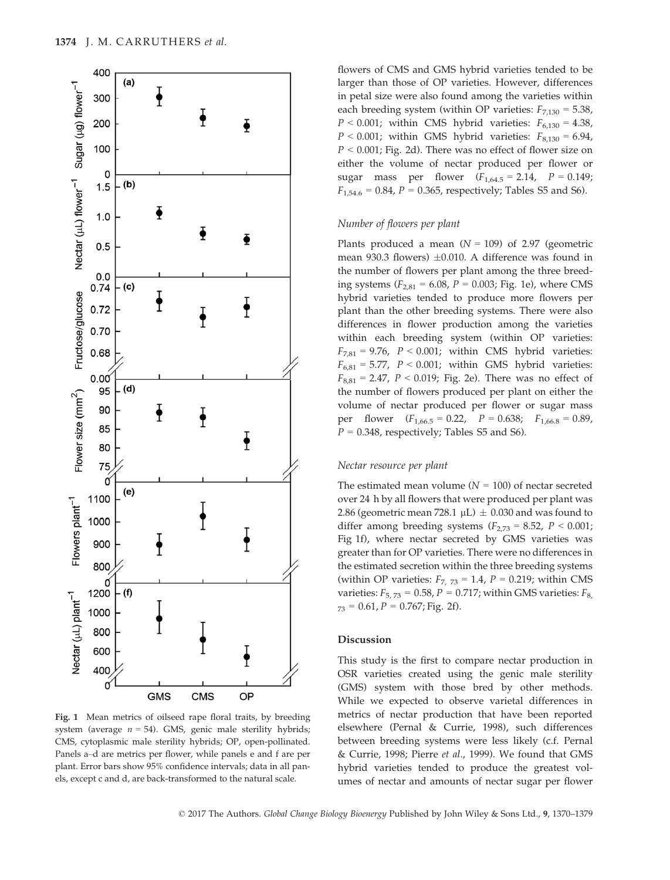

Fig. 1 Mean metrics of oilseed rape floral traits, by breeding system (average  $n = 54$ ). GMS, genic male sterility hybrids; CMS, cytoplasmic male sterility hybrids; OP, open-pollinated. Panels a–d are metrics per flower, while panels e and f are per plant. Error bars show 95% confidence intervals; data in all panels, except c and d, are back-transformed to the natural scale.

flowers of CMS and GMS hybrid varieties tended to be larger than those of OP varieties. However, differences in petal size were also found among the varieties within each breeding system (within OP varieties:  $F_{7,130} = 5.38$ ,  $P < 0.001$ ; within CMS hybrid varieties:  $F_{6,130} = 4.38$ ,  $P < 0.001$ ; within GMS hybrid varieties:  $F_{8,130} = 6.94$ ,  $P < 0.001$ ; Fig. 2d). There was no effect of flower size on either the volume of nectar produced per flower or sugar mass per flower  $(F_{1,64.5} = 2.14, P = 0.149)$ ;  $F_{1,54.6} = 0.84$ ,  $P = 0.365$ , respectively; Tables S5 and S6).

#### Number of flowers per plant

Plants produced a mean  $(N = 109)$  of 2.97 (geometric mean 930.3 flowers)  $\pm 0.010$ . A difference was found in the number of flowers per plant among the three breeding systems ( $F_{2,81} = 6.08$ ,  $P = 0.003$ ; Fig. 1e), where CMS hybrid varieties tended to produce more flowers per plant than the other breeding systems. There were also differences in flower production among the varieties within each breeding system (within OP varieties:  $F_{7,81} = 9.76$ ,  $P < 0.001$ ; within CMS hybrid varieties:  $F_{6,81} = 5.77$ ,  $P < 0.001$ ; within GMS hybrid varieties:  $F_{8,81} = 2.47$ ,  $P < 0.019$ ; Fig. 2e). There was no effect of the number of flowers produced per plant on either the volume of nectar produced per flower or sugar mass per flower  $(F_{1,66.5} = 0.22, P = 0.638; F_{1,66.8} = 0.89,$  $P = 0.348$ , respectively; Tables S5 and S6).

#### Nectar resource per plant

The estimated mean volume  $(N = 100)$  of nectar secreted over 24 h by all flowers that were produced per plant was 2.86 (geometric mean 728.1  $\mu$ L)  $\pm$  0.030 and was found to differ among breeding systems  $(F_{2,73} = 8.52, P \le 0.001;$ Fig 1f), where nectar secreted by GMS varieties was greater than for OP varieties. There were no differences in the estimated secretion within the three breeding systems (within OP varieties:  $F_{7, 73} = 1.4$ ,  $P = 0.219$ ; within CMS varieties:  $F_{5,73} = 0.58$ ,  $P = 0.717$ ; within GMS varieties:  $F_{8,73}$  $_{73}$  = 0.61, P = 0.767; Fig. 2f).

### Discussion

This study is the first to compare nectar production in OSR varieties created using the genic male sterility (GMS) system with those bred by other methods. While we expected to observe varietal differences in metrics of nectar production that have been reported elsewhere (Pernal & Currie, 1998), such differences between breeding systems were less likely (c.f. Pernal & Currie, 1998; Pierre et al., 1999). We found that GMS hybrid varieties tended to produce the greatest volumes of nectar and amounts of nectar sugar per flower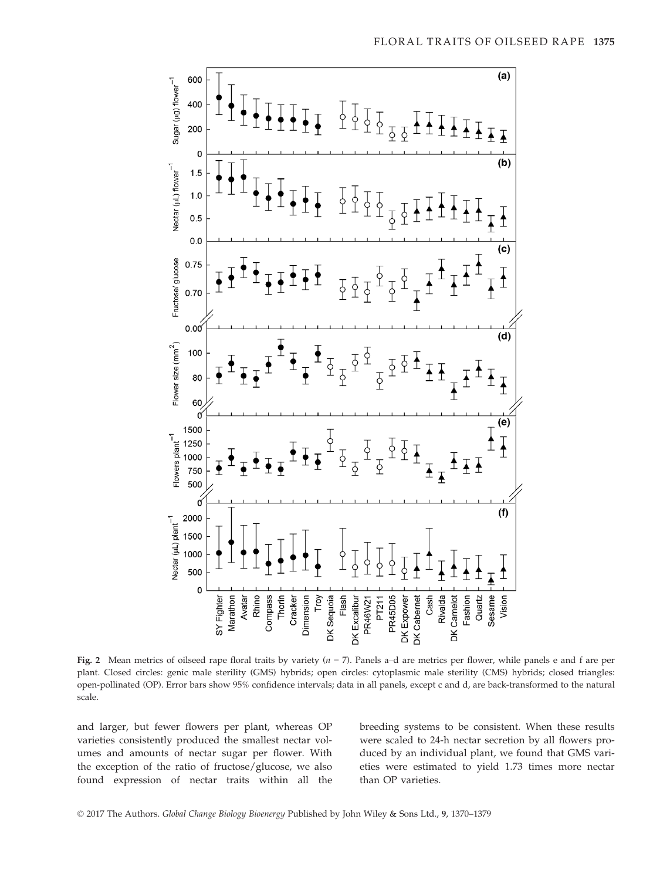

Fig. 2 Mean metrics of oilseed rape floral traits by variety  $(n = 7)$ . Panels a-d are metrics per flower, while panels e and f are per plant. Closed circles: genic male sterility (GMS) hybrids; open circles: cytoplasmic male sterility (CMS) hybrids; closed triangles: open-pollinated (OP). Error bars show 95% confidence intervals; data in all panels, except c and d, are back-transformed to the natural scale.

and larger, but fewer flowers per plant, whereas OP varieties consistently produced the smallest nectar volumes and amounts of nectar sugar per flower. With the exception of the ratio of fructose/glucose, we also found expression of nectar traits within all the breeding systems to be consistent. When these results were scaled to 24-h nectar secretion by all flowers produced by an individual plant, we found that GMS varieties were estimated to yield 1.73 times more nectar than OP varieties.

© 2017 The Authors. Global Change Biology Bioenergy Published by John Wiley & Sons Ltd., 9, 1370–1379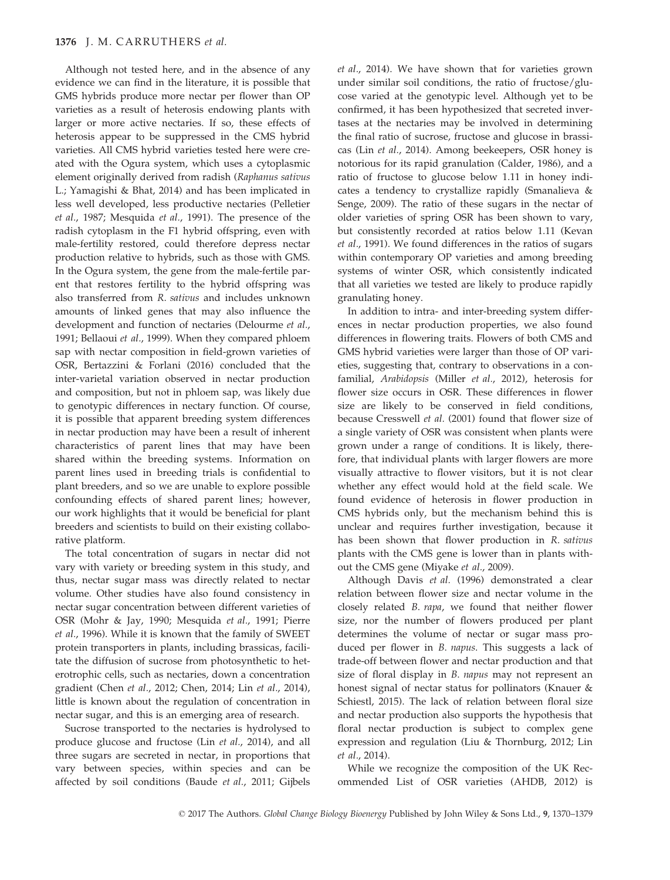Although not tested here, and in the absence of any evidence we can find in the literature, it is possible that GMS hybrids produce more nectar per flower than OP varieties as a result of heterosis endowing plants with larger or more active nectaries. If so, these effects of heterosis appear to be suppressed in the CMS hybrid varieties. All CMS hybrid varieties tested here were created with the Ogura system, which uses a cytoplasmic element originally derived from radish (Raphanus sativus L.; Yamagishi & Bhat, 2014) and has been implicated in less well developed, less productive nectaries (Pelletier et al., 1987; Mesquida et al., 1991). The presence of the radish cytoplasm in the F1 hybrid offspring, even with male-fertility restored, could therefore depress nectar production relative to hybrids, such as those with GMS. In the Ogura system, the gene from the male-fertile parent that restores fertility to the hybrid offspring was also transferred from R. sativus and includes unknown amounts of linked genes that may also influence the development and function of nectaries (Delourme et al., 1991; Bellaoui et al., 1999). When they compared phloem sap with nectar composition in field-grown varieties of OSR, Bertazzini & Forlani (2016) concluded that the inter-varietal variation observed in nectar production and composition, but not in phloem sap, was likely due to genotypic differences in nectary function. Of course, it is possible that apparent breeding system differences in nectar production may have been a result of inherent characteristics of parent lines that may have been shared within the breeding systems. Information on parent lines used in breeding trials is confidential to plant breeders, and so we are unable to explore possible confounding effects of shared parent lines; however, our work highlights that it would be beneficial for plant breeders and scientists to build on their existing collaborative platform.

The total concentration of sugars in nectar did not vary with variety or breeding system in this study, and thus, nectar sugar mass was directly related to nectar volume. Other studies have also found consistency in nectar sugar concentration between different varieties of OSR (Mohr & Jay, 1990; Mesquida et al., 1991; Pierre et al., 1996). While it is known that the family of SWEET protein transporters in plants, including brassicas, facilitate the diffusion of sucrose from photosynthetic to heterotrophic cells, such as nectaries, down a concentration gradient (Chen et al., 2012; Chen, 2014; Lin et al., 2014), little is known about the regulation of concentration in nectar sugar, and this is an emerging area of research.

Sucrose transported to the nectaries is hydrolysed to produce glucose and fructose (Lin et al., 2014), and all three sugars are secreted in nectar, in proportions that vary between species, within species and can be affected by soil conditions (Baude et al., 2011; Gijbels et al., 2014). We have shown that for varieties grown under similar soil conditions, the ratio of fructose/glucose varied at the genotypic level. Although yet to be confirmed, it has been hypothesized that secreted invertases at the nectaries may be involved in determining the final ratio of sucrose, fructose and glucose in brassicas (Lin et al., 2014). Among beekeepers, OSR honey is notorious for its rapid granulation (Calder, 1986), and a ratio of fructose to glucose below 1.11 in honey indicates a tendency to crystallize rapidly (Smanalieva & Senge, 2009). The ratio of these sugars in the nectar of older varieties of spring OSR has been shown to vary, but consistently recorded at ratios below 1.11 (Kevan et al., 1991). We found differences in the ratios of sugars within contemporary OP varieties and among breeding systems of winter OSR, which consistently indicated that all varieties we tested are likely to produce rapidly granulating honey.

In addition to intra- and inter-breeding system differences in nectar production properties, we also found differences in flowering traits. Flowers of both CMS and GMS hybrid varieties were larger than those of OP varieties, suggesting that, contrary to observations in a confamilial, Arabidopsis (Miller et al., 2012), heterosis for flower size occurs in OSR. These differences in flower size are likely to be conserved in field conditions, because Cresswell et al. (2001) found that flower size of a single variety of OSR was consistent when plants were grown under a range of conditions. It is likely, therefore, that individual plants with larger flowers are more visually attractive to flower visitors, but it is not clear whether any effect would hold at the field scale. We found evidence of heterosis in flower production in CMS hybrids only, but the mechanism behind this is unclear and requires further investigation, because it has been shown that flower production in R. sativus plants with the CMS gene is lower than in plants without the CMS gene (Miyake et al., 2009).

Although Davis et al. (1996) demonstrated a clear relation between flower size and nectar volume in the closely related B. rapa, we found that neither flower size, nor the number of flowers produced per plant determines the volume of nectar or sugar mass produced per flower in B. napus. This suggests a lack of trade-off between flower and nectar production and that size of floral display in B. napus may not represent an honest signal of nectar status for pollinators (Knauer & Schiestl, 2015). The lack of relation between floral size and nectar production also supports the hypothesis that floral nectar production is subject to complex gene expression and regulation (Liu & Thornburg, 2012; Lin et al., 2014).

While we recognize the composition of the UK Recommended List of OSR varieties (AHDB, 2012) is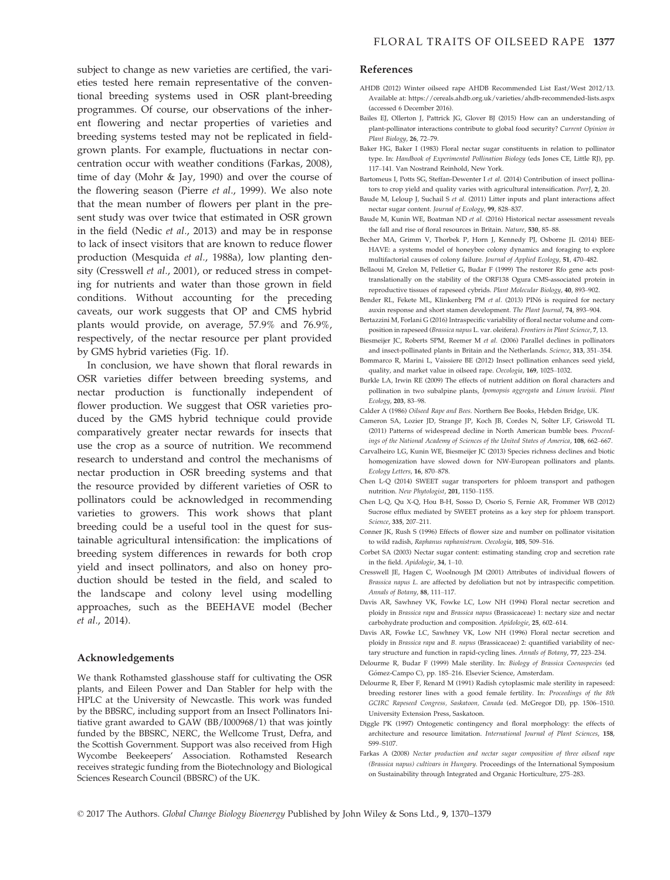subject to change as new varieties are certified, the varieties tested here remain representative of the conventional breeding systems used in OSR plant-breeding programmes. Of course, our observations of the inherent flowering and nectar properties of varieties and breeding systems tested may not be replicated in fieldgrown plants. For example, fluctuations in nectar concentration occur with weather conditions (Farkas, 2008), time of day (Mohr & Jay, 1990) and over the course of the flowering season (Pierre et al., 1999). We also note that the mean number of flowers per plant in the present study was over twice that estimated in OSR grown in the field (Nedic et al., 2013) and may be in response to lack of insect visitors that are known to reduce flower production (Mesquida et al., 1988a), low planting density (Cresswell et al., 2001), or reduced stress in competing for nutrients and water than those grown in field conditions. Without accounting for the preceding caveats, our work suggests that OP and CMS hybrid plants would provide, on average, 57.9% and 76.9%, respectively, of the nectar resource per plant provided by GMS hybrid varieties (Fig. 1f).

In conclusion, we have shown that floral rewards in OSR varieties differ between breeding systems, and nectar production is functionally independent of flower production. We suggest that OSR varieties produced by the GMS hybrid technique could provide comparatively greater nectar rewards for insects that use the crop as a source of nutrition. We recommend research to understand and control the mechanisms of nectar production in OSR breeding systems and that the resource provided by different varieties of OSR to pollinators could be acknowledged in recommending varieties to growers. This work shows that plant breeding could be a useful tool in the quest for sustainable agricultural intensification: the implications of breeding system differences in rewards for both crop yield and insect pollinators, and also on honey production should be tested in the field, and scaled to the landscape and colony level using modelling approaches, such as the BEEHAVE model (Becher et al., 2014).

#### Acknowledgements

We thank Rothamsted glasshouse staff for cultivating the OSR plants, and Eileen Power and Dan Stabler for help with the HPLC at the University of Newcastle. This work was funded by the BBSRC, including support from an Insect Pollinators Initiative grant awarded to GAW (BB/I000968/1) that was jointly funded by the BBSRC, NERC, the Wellcome Trust, Defra, and the Scottish Government. Support was also received from High Wycombe Beekeepers' Association. Rothamsted Research receives strategic funding from the Biotechnology and Biological Sciences Research Council (BBSRC) of the UK.

#### References

- AHDB (2012) Winter oilseed rape AHDB Recommended List East/West 2012/13. Available at:<https://cereals.ahdb.org.uk/varieties/ahdb-recommended-lists.aspx> (accessed 6 December 2016).
- Bailes EJ, Ollerton J, Pattrick JG, Glover BJ (2015) How can an understanding of plant-pollinator interactions contribute to global food security? Current Opinion in Plant Biology, 26, 72–79.
- Baker HG, Baker I (1983) Floral nectar sugar constituents in relation to pollinator type. In: Handbook of Experimental Pollination Biology (eds Jones CE, Little RJ), pp. 117–141. Van Nostrand Reinhold, New York.
- Bartomeus I, Potts SG, Steffan-Dewenter I et al. (2014) Contribution of insect pollinators to crop yield and quality varies with agricultural intensification. PeerJ, 2, 20.
- Baude M, Leloup J, Suchail S et al. (2011) Litter inputs and plant interactions affect nectar sugar content. Journal of Ecology, 99, 828–837.
- Baude M, Kunin WE, Boatman ND et al. (2016) Historical nectar assessment reveals the fall and rise of floral resources in Britain. Nature, 530, 85–88.
- Becher MA, Grimm V, Thorbek P, Horn J, Kennedy PJ, Osborne JL (2014) BEE-HAVE: a systems model of honeybee colony dynamics and foraging to explore multifactorial causes of colony failure. Journal of Applied Ecology, 51, 470–482.
- Bellaoui M, Grelon M, Pelletier G, Budar F (1999) The restorer Rfo gene acts posttranslationally on the stability of the ORF138 Ogura CMS-associated protein in reproductive tissues of rapeseed cybrids. Plant Molecular Biology, 40, 893–902.
- Bender RL, Fekete ML, Klinkenberg PM et al. (2013) PIN6 is required for nectary auxin response and short stamen development. The Plant Journal, 74, 893–904.
- Bertazzini M, Forlani G (2016) Intraspecific variability of floral nectar volume and composition in rapeseed (Brassica napus L. var. oleifera). Frontiers in Plant Science, 7, 13.
- Biesmeijer JC, Roberts SPM, Reemer M et al. (2006) Parallel declines in pollinators and insect-pollinated plants in Britain and the Netherlands. Science, 313, 351–354. Bommarco R, Marini L, Vaissiere BE (2012) Insect pollination enhances seed yield,
- quality, and market value in oilseed rape. Oecologia, 169, 1025–1032. Burkle LA, Irwin RE (2009) The effects of nutrient addition on floral characters and
- pollination in two subalpine plants, Ipomopsis aggregata and Linum lewisii. Plant Ecology, 203, 83–98.
- Calder A (1986) Oilseed Rape and Bees. Northern Bee Books, Hebden Bridge, UK.
- Cameron SA, Lozier JD, Strange JP, Koch JB, Cordes N, Solter LF, Griswold TL (2011) Patterns of widespread decline in North American bumble bees. Proceedings of the National Academy of Sciences of the United States of America, 108, 662–667.
- Carvalheiro LG, Kunin WE, Biesmeijer JC (2013) Species richness declines and biotic homogenization have slowed down for NW-European pollinators and plants. Ecology Letters, 16, 870–878.
- Chen L-Q (2014) SWEET sugar transporters for phloem transport and pathogen nutrition. New Phytologist, 201, 1150–1155.
- Chen L-Q, Qu X-Q, Hou B-H, Sosso D, Osorio S, Fernie AR, Frommer WB (2012) Sucrose efflux mediated by SWEET proteins as a key step for phloem transport. Science, 335, 207–211.
- Conner JK, Rush S (1996) Effects of flower size and number on pollinator visitation to wild radish, Raphanus raphanistrum. Oecologia, 105, 509–516.
- Corbet SA (2003) Nectar sugar content: estimating standing crop and secretion rate in the field. Apidologie, 34, 1–10.
- Cresswell JE, Hagen C, Woolnough JM (2001) Attributes of individual flowers of Brassica napus L. are affected by defoliation but not by intraspecific competition. Annals of Botany, 88, 111–117.
- Davis AR, Sawhney VK, Fowke LC, Low NH (1994) Floral nectar secretion and ploidy in Brassica rapa and Brassica napus (Brassicaceae) 1: nectary size and nectar carbohydrate production and composition. Apidologie, 25, 602–614.
- Davis AR, Fowke LC, Sawhney VK, Low NH (1996) Floral nectar secretion and ploidy in Brassica rapa and B. napus (Brassicaceae) 2: quantified variability of nectary structure and function in rapid-cycling lines. Annals of Botany, 77, 223–234.
- Delourme R, Budar F (1999) Male sterility. In: Biology of Brassica Coenospecies (ed Gómez-Campo C), pp. 185-216. Elsevier Science, Amsterdam.
- Delourme R, Eber F, Renard M (1991) Radish cytoplasmic male sterility in rapeseed: breeding restorer lines with a good female fertility. In: Proceedings of the 8th GCIRC Rapeseed Congress, Saskatoon, Canada (ed. McGregor DI), pp. 1506–1510. University Extension Press, Saskatoon.
- Diggle PK (1997) Ontogenetic contingency and floral morphology: the effects of architecture and resource limitation. International Journal of Plant Sciences, 158, S99–S107.
- Farkas A (2008) Nectar production and nectar sugar composition of three oilseed rape (Brassica napus) cultivars in Hungary. Proceedings of the International Symposium on Sustainability through Integrated and Organic Horticulture, 275–283.

© 2017 The Authors. Global Change Biology Bioenergy Published by John Wiley & Sons Ltd., 9, 1370–1379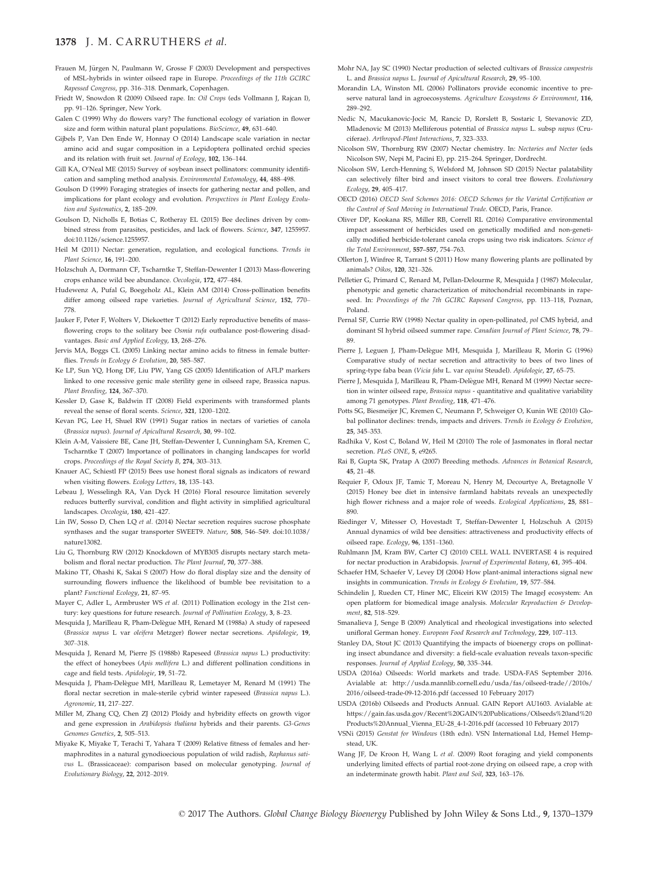### 1378 J. M. CARRUTHERS et al.

- Frauen M, Jürgen N, Paulmann W, Grosse F (2003) Development and perspectives of MSL-hybrids in winter oilseed rape in Europe. Proceedings of the 11th GCIRC Rapessed Congress, pp. 316–318. Denmark, Copenhagen.
- Friedt W, Snowdon R (2009) Oilseed rape. In: Oil Crops (eds Vollmann J, Rajcan I), pp. 91–126. Springer, New York.
- Galen C (1999) Why do flowers vary? The functional ecology of variation in flower size and form within natural plant populations. BioScience, 49, 631-640.
- Gijbels P, Van Den Ende W, Honnay O (2014) Landscape scale variation in nectar amino acid and sugar composition in a Lepidoptera pollinated orchid species and its relation with fruit set. Journal of Ecology, 102, 136–144.
- Gill KA, O'Neal ME (2015) Survey of soybean insect pollinators: community identification and sampling method analysis. Environmental Entomology, 44, 488–498.
- Goulson D (1999) Foraging strategies of insects for gathering nectar and pollen, and implications for plant ecology and evolution. Perspectives in Plant Ecology Evolution and Systematics, 2, 185–209.
- Goulson D, Nicholls E, Botias C, Rotheray EL (2015) Bee declines driven by combined stress from parasites, pesticides, and lack of flowers. Science, 347, 1255957. doi[:10.1126/science.1255957](https://doi.org/10.1126/science.1255957).
- Heil M (2011) Nectar: generation, regulation, and ecological functions. Trends in Plant Science, 16, 191–200.
- Holzschuh A, Dormann CF, Tscharntke T, Steffan-Dewenter I (2013) Mass-flowering crops enhance wild bee abundance. Oecologia, 172, 477–484.
- Hudewenz A, Pufal G, Boegeholz AL, Klein AM (2014) Cross-pollination benefits differ among oilseed rape varieties. Journal of Agricultural Science, 152, 770– 778.
- Jauker F, Peter F, Wolters V, Diekoetter T (2012) Early reproductive benefits of massflowering crops to the solitary bee Osmia rufa outbalance post-flowering disadvantages. Basic and Applied Ecology, 13, 268–276.
- Jervis MA, Boggs CL (2005) Linking nectar amino acids to fitness in female butterflies. Trends in Ecology & Evolution, 20, 585-587.
- Ke LP, Sun YQ, Hong DF, Liu PW, Yang GS (2005) Identification of AFLP markers linked to one recessive genic male sterility gene in oilseed rape, Brassica napus. Plant Breeding, 124, 367–370.
- Kessler D, Gase K, Baldwin IT (2008) Field experiments with transformed plants reveal the sense of floral scents. Science, 321, 1200–1202.
- Kevan PG, Lee H, Shuel RW (1991) Sugar ratios in nectars of varieties of canola (Brassica napus). Journal of Apicultural Research, 30, 99–102.
- Klein A-M, Vaissiere BE, Cane JH, Steffan-Dewenter I, Cunningham SA, Kremen C, Tscharntke T (2007) Importance of pollinators in changing landscapes for world crops. Proceedings of the Royal Society B, 274, 303–313.
- Knauer AC, Schiestl FP (2015) Bees use honest floral signals as indicators of reward when visiting flowers. Ecology Letters, 18, 135–143.
- Lebeau J, Wesselingh RA, Van Dyck H (2016) Floral resource limitation severely reduces butterfly survival, condition and flight activity in simplified agricultural landscapes. Oecologia, 180, 421–427.
- Lin IW, Sosso D, Chen LO et al. (2014) Nectar secretion requires sucrose phosphate synthases and the sugar transporter SWEET9. Nature, 508, 546–549. doi:[10.1038/](https://doi.org/10.1038/nature13082) [nature13082](https://doi.org/10.1038/nature13082).
- Liu G, Thornburg RW (2012) Knockdown of MYB305 disrupts nectary starch metabolism and floral nectar production. The Plant Journal, 70, 377–388.
- Makino TT, Ohashi K, Sakai S (2007) How do floral display size and the density of surrounding flowers influence the likelihood of bumble bee revisitation to a plant? Functional Ecology, 21, 87–95.
- Mayer C, Adler L, Armbruster WS et al. (2011) Pollination ecology in the 21st century: key questions for future research. Journal of Pollination Ecology, 3, 8–23.
- Mesquida J, Marilleau R, Pham-Delègue MH, Renard M (1988a) A study of rapeseed (Brassica napus L var oleifera Metzger) flower nectar secretions. Apidologie, 19, 307–318.
- Mesquida J, Renard M, Pierre JS (1988b) Rapeseed (Brassica napus L.) productivity: the effect of honeybees (Apis mellifera L.) and different pollination conditions in cage and field tests. Apidologie, 19, 51–72.
- Mesquida J, Pham-Delegue MH, Marilleau R, Lemetayer M, Renard M (1991) The floral nectar secretion in male-sterile cybrid winter rapeseed (Brassica napus L.). Agronomie, 11, 217–227.
- Miller M, Zhang CQ, Chen ZJ (2012) Ploidy and hybridity effects on growth vigor and gene expression in Arabidopsis thaliana hybrids and their parents. G3-Genes Genomes Genetics, 2, 505–513.
- Miyake K, Miyake T, Terachi T, Yahara T (2009) Relative fitness of females and hermaphrodites in a natural gynodioecious population of wild radish, Raphanus sativus L. (Brassicaceae): comparison based on molecular genotyping. Journal of Evolutionary Biology, 22, 2012–2019.
- Mohr NA, Jay SC (1990) Nectar production of selected cultivars of Brassica campestris L. and Brassica napus L. Journal of Apicultural Research, 29, 95–100.
- Morandin LA, Winston ML (2006) Pollinators provide economic incentive to preserve natural land in agroecosystems. Agriculture Ecosystems & Environment, 116, 289–292.
- Nedic N, Macukanovic-Jocic M, Rancic D, Rorslett B, Sostaric I, Stevanovic ZD, Mladenovic M (2013) Melliferous potential of Brassica napus L. subsp napus (Cruciferae). Arthropod-Plant Interactions, 7, 323–333.
- Nicolson SW, Thornburg RW (2007) Nectar chemistry. In: Nectaries and Nectar (eds Nicolson SW, Nepi M, Pacini E), pp. 215–264. Springer, Dordrecht.
- Nicolson SW, Lerch-Henning S, Welsford M, Johnson SD (2015) Nectar palatability can selectively filter bird and insect visitors to coral tree flowers. Evolutionary Ecology, 29, 405–417.
- OECD (2016) OECD Seed Schemes 2016: OECD Schemes for the Varietal Certification or the Control of Seed Moving in International Trade. OECD, Paris, France.
- Oliver DP, Kookana RS, Miller RB, Correll RL (2016) Comparative environmental impact assessment of herbicides used on genetically modified and non-genetically modified herbicide-tolerant canola crops using two risk indicators. Science of the Total Environment, 557–557, 754–763.
- Ollerton J, Winfree R, Tarrant S (2011) How many flowering plants are pollinated by animals? Oikos, 120, 321–326.
- Pelletier G, Primard C, Renard M, Pellan-Delourme R, Mesquida J (1987) Molecular, phenotypic and genetic characterization of mitochondrial recombinants in rapeseed. In: Proceedings of the 7th GCIRC Rapeseed Congress, pp. 113-118, Poznan, Poland.
- Pernal SF, Currie RW (1998) Nectar quality in open-pollinated, pol CMS hybrid, and dominant SI hybrid oilseed summer rape. Canadian Journal of Plant Science, 78, 79– 89.
- Pierre J, Leguen J, Pham-Delègue MH, Mesquida J, Marilleau R, Morin G (1996) Comparative study of nectar secretion and attractivity to bees of two lines of spring-type faba bean (Vicia faba L. var equina Steudel). Apidologie, 27, 65-75.
- Pierre J, Mesquida J, Marilleau R, Pham-Delègue MH, Renard M (1999) Nectar secretion in winter oilseed rape, Brassica napus - quantitative and qualitative variability among 71 genotypes. Plant Breeding, 118, 471–476.
- Potts SG, Biesmeijer JC, Kremen C, Neumann P, Schweiger O, Kunin WE (2010) Global pollinator declines: trends, impacts and drivers. Trends in Ecology & Evolution, 25, 345–353.
- Radhika V, Kost C, Boland W, Heil M (2010) The role of Jasmonates in floral nectar secretion. PLoS ONE, 5, e9265.
- Rai B, Gupta SK, Pratap A (2007) Breeding methods. Advances in Botanical Research, 45, 21–48.
- Requier F, Odoux JF, Tamic T, Moreau N, Henry M, Decourtye A, Bretagnolle V (2015) Honey bee diet in intensive farmland habitats reveals an unexpectedly high flower richness and a major role of weeds. Ecological Applications, 25, 881– 890.
- Riedinger V, Mitesser O, Hovestadt T, Steffan-Dewenter I, Holzschuh A (2015) Annual dynamics of wild bee densities: attractiveness and productivity effects of oilseed rape. Ecology, 96, 1351–1360.
- Ruhlmann JM, Kram BW, Carter CJ (2010) CELL WALL INVERTASE 4 is required for nectar production in Arabidopsis. Journal of Experimental Botany, 61, 395–404.
- Schaefer HM, Schaefer V, Levey DJ (2004) How plant-animal interactions signal new insights in communication. Trends in Ecology & Evolution, 19, 577–584.
- Schindelin J, Rueden CT, Hiner MC, Eliceiri KW (2015) The ImageJ ecosystem: An open platform for biomedical image analysis. Molecular Reproduction & Development, 82, 518–529.
- Smanalieva J, Senge B (2009) Analytical and rheological investigations into selected unifloral German honey. European Food Research and Technology, 229, 107–113.
- Stanley DA, Stout JC (2013) Quantifying the impacts of bioenergy crops on pollinating insect abundance and diversity: a field-scale evaluation reveals taxon-specific responses. Journal of Applied Ecology, 50, 335–344.
- USDA (2016a) Oilseeds: World markets and trade. USDA-FAS September 2016. Avialable at: [http://usda.mannlib.cornell.edu/usda/fas/oilseed-trade//2010s/](http://usda.mannlib.cornell.edu/usda/fas/oilseed-trade//2010s/2016/oilseed-trade-09-12-2016.pdf) [2016/oilseed-trade-09-12-2016.pdf](http://usda.mannlib.cornell.edu/usda/fas/oilseed-trade//2010s/2016/oilseed-trade-09-12-2016.pdf) (accessed 10 February 2017)
- USDA (2016b) Oilseeds and Products Annual. GAIN Report AU1603. Avialable at: [https://gain.fas.usda.gov/Recent%20GAIN%20Publications/Oilseeds%20and%20](https://gain.fas.usda.gov/Recent%20GAIN%20Publications/Oilseeds%20and%20Products%20Annual_Vienna_EU-28_4-1-2016.pdf) [Products%20Annual\\_Vienna\\_EU-28\\_4-1-2016.pdf](https://gain.fas.usda.gov/Recent%20GAIN%20Publications/Oilseeds%20and%20Products%20Annual_Vienna_EU-28_4-1-2016.pdf) (accessed 10 February 2017)
- VSNi (2015) Genstat for Windows (18th edn). VSN International Ltd, Hemel Hempstead, UK.
- Wang JF, De Kroon H, Wang L et al. (2009) Root foraging and yield components underlying limited effects of partial root-zone drying on oilseed rape, a crop with an indeterminate growth habit. Plant and Soil, 323, 163–176.